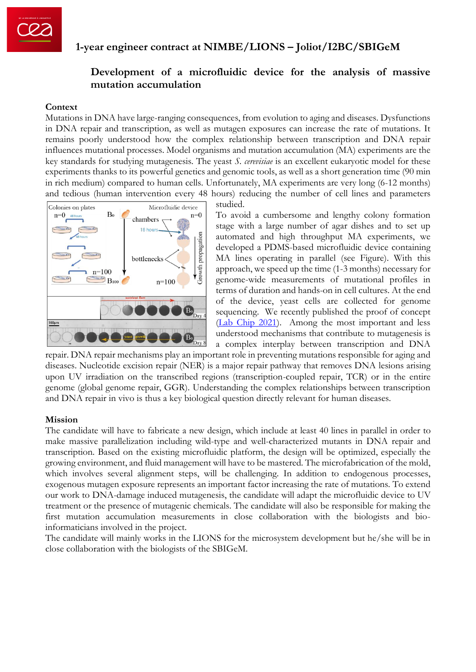

# **1-year engineer contract at NIMBE/LIONS – Joliot/I2BC/SBIGeM**

## **Development of a microfluidic device for the analysis of massive mutation accumulation**

#### **Context**

Mutations in DNA have large-ranging consequences, from evolution to aging and diseases. Dysfunctions in DNA repair and transcription, as well as mutagen exposures can increase the rate of mutations. It remains poorly understood how the complex relationship between transcription and DNA repair influences mutational processes. Model organisms and mutation accumulation (MA) experiments are the key standards for studying mutagenesis. The yeast *S. cerevisiae* is an excellent eukaryotic model for these experiments thanks to its powerful genetics and genomic tools, as well as a short generation time (90 min in rich medium) compared to human cells. Unfortunately, MA experiments are very long (6-12 months) and tedious (human intervention every 48 hours) reducing the number of cell lines and parameters



studied.

To avoid a cumbersome and lengthy colony formation stage with a large number of agar dishes and to set up automated and high throughput MA experiments, we developed a PDMS-based microfluidic device containing MA lines operating in parallel (see Figure). With this approach, we speed up the time (1-3 months) necessary for genome-wide measurements of mutational profiles in terms of duration and hands-on in cell cultures. At the end of the device, yeast cells are collected for genome sequencing. We recently published the proof of concept [\(Lab Chip 2021\)](https://pubs.rsc.org/en/content/articlelanding/2021/lc/d1lc00086a#!). Among the most important and less understood mechanisms that contribute to mutagenesis is a complex interplay between transcription and DNA

repair. DNA repair mechanisms play an important role in preventing mutations responsible for aging and diseases. Nucleotide excision repair (NER) is a major repair pathway that removes DNA lesions arising upon UV irradiation on the transcribed regions (transcription-coupled repair, TCR) or in the entire genome (global genome repair, GGR). Understanding the complex relationships between transcription and DNA repair in vivo is thus a key biological question directly relevant for human diseases.

#### **Mission**

The candidate will have to fabricate a new design, which include at least 40 lines in parallel in order to make massive parallelization including wild-type and well-characterized mutants in DNA repair and transcription. Based on the existing microfluidic platform, the design will be optimized, especially the growing environment, and fluid management will have to be mastered. The microfabrication of the mold, which involves several alignment steps, will be challenging. In addition to endogenous processes, exogenous mutagen exposure represents an important factor increasing the rate of mutations. To extend our work to DNA-damage induced mutagenesis, the candidate will adapt the microfluidic device to UV treatment or the presence of mutagenic chemicals. The candidate will also be responsible for making the first mutation accumulation measurements in close collaboration with the biologists and bioinformaticians involved in the project.

The candidate will mainly works in the LIONS for the microsystem development but he/she will be in close collaboration with the biologists of the SBIGeM.